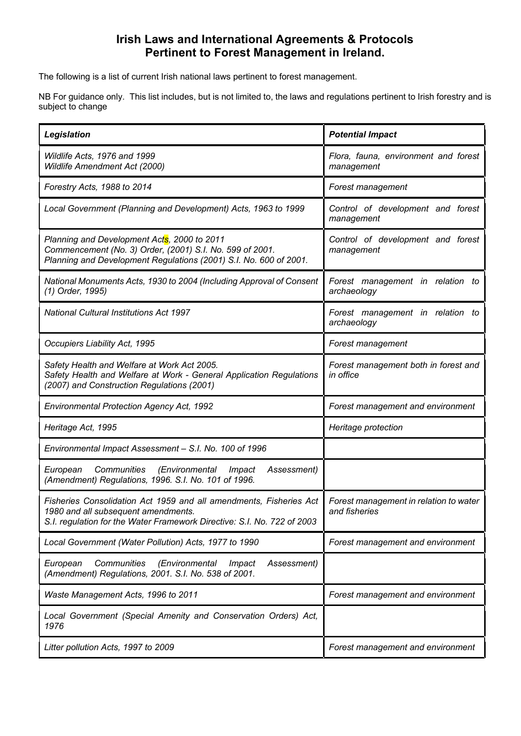## **Irish Laws and International Agreements & Protocols Pertinent to Forest Management in Ireland.**

The following is a list of current Irish national laws pertinent to forest management.

NB For guidance only. This list includes, but is not limited to, the laws and regulations pertinent to Irish forestry and is subject to change

| Legislation                                                                                                                                                                          | <b>Potential Impact</b>                                 |
|--------------------------------------------------------------------------------------------------------------------------------------------------------------------------------------|---------------------------------------------------------|
| Wildlife Acts, 1976 and 1999<br>Wildlife Amendment Act (2000)                                                                                                                        | Flora, fauna, environment and forest<br>management      |
| Forestry Acts, 1988 to 2014                                                                                                                                                          | Forest management                                       |
| Local Government (Planning and Development) Acts, 1963 to 1999                                                                                                                       | Control of development and forest<br>management         |
| Planning and Development Acts, 2000 to 2011<br>Commencement (No. 3) Order, (2001) S.I. No. 599 of 2001.<br>Planning and Development Regulations (2001) S.I. No. 600 of 2001.         | Control of development and forest<br>management         |
| National Monuments Acts, 1930 to 2004 (Including Approval of Consent<br>(1) Order, 1995)                                                                                             | Forest management in relation to<br>archaeology         |
| <b>National Cultural Institutions Act 1997</b>                                                                                                                                       | Forest management in relation to<br>archaeology         |
| Occupiers Liability Act, 1995                                                                                                                                                        | Forest management                                       |
| Safety Health and Welfare at Work Act 2005.<br>Safety Health and Welfare at Work - General Application Regulations<br>(2007) and Construction Regulations (2001)                     | Forest management both in forest and<br>in office       |
| <b>Environmental Protection Agency Act, 1992</b>                                                                                                                                     | Forest management and environment                       |
| Heritage Act, 1995                                                                                                                                                                   | Heritage protection                                     |
| Environmental Impact Assessment - S.I. No. 100 of 1996                                                                                                                               |                                                         |
| Communities<br>(Environmental<br>European<br>Impact<br>Assessment)<br>(Amendment) Regulations, 1996. S.I. No. 101 of 1996.                                                           |                                                         |
| Fisheries Consolidation Act 1959 and all amendments, Fisheries Act<br>1980 and all subsequent amendments.<br>S.I. regulation for the Water Framework Directive: S.I. No. 722 of 2003 | Forest management in relation to water<br>and fisheries |
| Local Government (Water Pollution) Acts, 1977 to 1990                                                                                                                                | Forest management and environment                       |
| Communities<br>(Environmental<br>European<br>Impact<br>Assessment)<br>(Amendment) Regulations, 2001. S.I. No. 538 of 2001.                                                           |                                                         |
| Waste Management Acts, 1996 to 2011                                                                                                                                                  | Forest management and environment                       |
| Local Government (Special Amenity and Conservation Orders) Act,<br>1976                                                                                                              |                                                         |
| Litter pollution Acts, 1997 to 2009                                                                                                                                                  | Forest management and environment                       |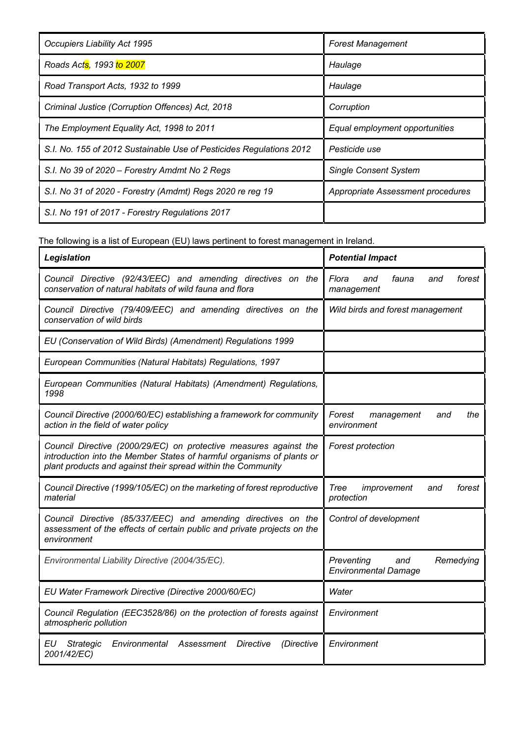| <b>Occupiers Liability Act 1995</b>                                 | <b>Forest Management</b>          |
|---------------------------------------------------------------------|-----------------------------------|
| Roads Acts, 1993 to 2007                                            | Haulage                           |
| Road Transport Acts, 1932 to 1999                                   | Haulage                           |
| Criminal Justice (Corruption Offences) Act, 2018                    | Corruption                        |
| The Employment Equality Act, 1998 to 2011                           | Equal employment opportunities    |
| S.I. No. 155 of 2012 Sustainable Use of Pesticides Regulations 2012 | Pesticide use                     |
| S.I. No 39 of 2020 - Forestry Amdmt No 2 Regs                       | <b>Single Consent System</b>      |
| S.I. No 31 of 2020 - Forestry (Amdmt) Regs 2020 re reg 19           | Appropriate Assessment procedures |
| S.I. No 191 of 2017 - Forestry Regulations 2017                     |                                   |

The following is a list of European (EU) laws pertinent to forest management in Ireland.

| Legislation                                                                                                                                                                                                | <b>Potential Impact</b>                                       |
|------------------------------------------------------------------------------------------------------------------------------------------------------------------------------------------------------------|---------------------------------------------------------------|
| Council Directive (92/43/EEC) and amending directives on the<br>conservation of natural habitats of wild fauna and flora                                                                                   | Flora<br>fauna<br>forest<br>and<br>and<br>management          |
| Council Directive (79/409/EEC) and amending directives on the<br>conservation of wild birds                                                                                                                | Wild birds and forest management                              |
| EU (Conservation of Wild Birds) (Amendment) Regulations 1999                                                                                                                                               |                                                               |
| European Communities (Natural Habitats) Regulations, 1997                                                                                                                                                  |                                                               |
| European Communities (Natural Habitats) (Amendment) Regulations,<br>1998                                                                                                                                   |                                                               |
| Council Directive (2000/60/EC) establishing a framework for community<br>action in the field of water policy                                                                                               | Forest<br>management<br>the<br>and<br>environment             |
| Council Directive (2000/29/EC) on protective measures against the<br>introduction into the Member States of harmful organisms of plants or<br>plant products and against their spread within the Community | <b>Forest protection</b>                                      |
| Council Directive (1999/105/EC) on the marketing of forest reproductive<br>material                                                                                                                        | Tree<br>improvement<br>forest<br>and<br>protection            |
| Council Directive (85/337/EEC) and amending directives on the<br>assessment of the effects of certain public and private projects on the<br>environment                                                    | Control of development                                        |
| Environmental Liability Directive (2004/35/EC).                                                                                                                                                            | Preventing<br>Remedying<br>and<br><b>Environmental Damage</b> |
| EU Water Framework Directive (Directive 2000/60/EC)                                                                                                                                                        | Water                                                         |
| Council Regulation (EEC3528/86) on the protection of forests against<br>atmospheric pollution                                                                                                              | Environment                                                   |
| ΕU<br>Environmental<br>Assessment<br>Directive<br>(Directive<br><b>Strategic</b><br>2001/42/EC)                                                                                                            | Environment                                                   |